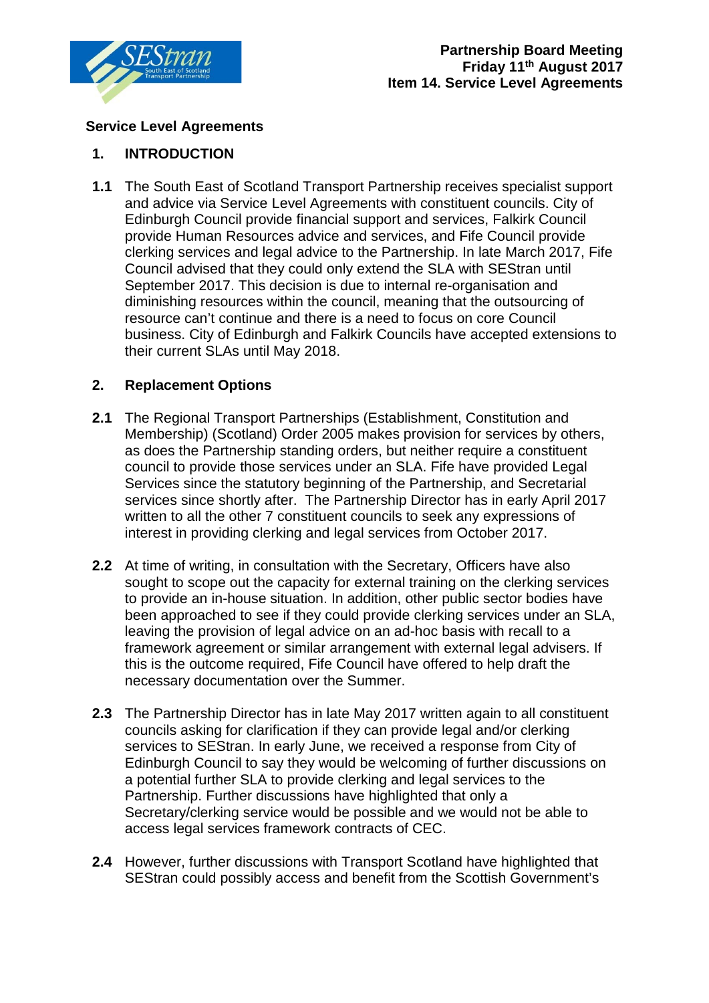

## **Service Level Agreements**

## **1. INTRODUCTION**

**1.1** The South East of Scotland Transport Partnership receives specialist support and advice via Service Level Agreements with constituent councils. City of Edinburgh Council provide financial support and services, Falkirk Council provide Human Resources advice and services, and Fife Council provide clerking services and legal advice to the Partnership. In late March 2017, Fife Council advised that they could only extend the SLA with SEStran until September 2017. This decision is due to internal re-organisation and diminishing resources within the council, meaning that the outsourcing of resource can't continue and there is a need to focus on core Council business. City of Edinburgh and Falkirk Councils have accepted extensions to their current SLAs until May 2018.

## **2. Replacement Options**

- **2.1** The Regional Transport Partnerships (Establishment, Constitution and Membership) (Scotland) Order 2005 makes provision for services by others, as does the Partnership standing orders, but neither require a constituent council to provide those services under an SLA. Fife have provided Legal Services since the statutory beginning of the Partnership, and Secretarial services since shortly after. The Partnership Director has in early April 2017 written to all the other 7 constituent councils to seek any expressions of interest in providing clerking and legal services from October 2017.
- **2.2** At time of writing, in consultation with the Secretary, Officers have also sought to scope out the capacity for external training on the clerking services to provide an in-house situation. In addition, other public sector bodies have been approached to see if they could provide clerking services under an SLA, leaving the provision of legal advice on an ad-hoc basis with recall to a framework agreement or similar arrangement with external legal advisers. If this is the outcome required, Fife Council have offered to help draft the necessary documentation over the Summer.
- **2.3** The Partnership Director has in late May 2017 written again to all constituent councils asking for clarification if they can provide legal and/or clerking services to SEStran. In early June, we received a response from City of Edinburgh Council to say they would be welcoming of further discussions on a potential further SLA to provide clerking and legal services to the Partnership. Further discussions have highlighted that only a Secretary/clerking service would be possible and we would not be able to access legal services framework contracts of CEC.
- **2.4** However, further discussions with Transport Scotland have highlighted that SEStran could possibly access and benefit from the Scottish Government's